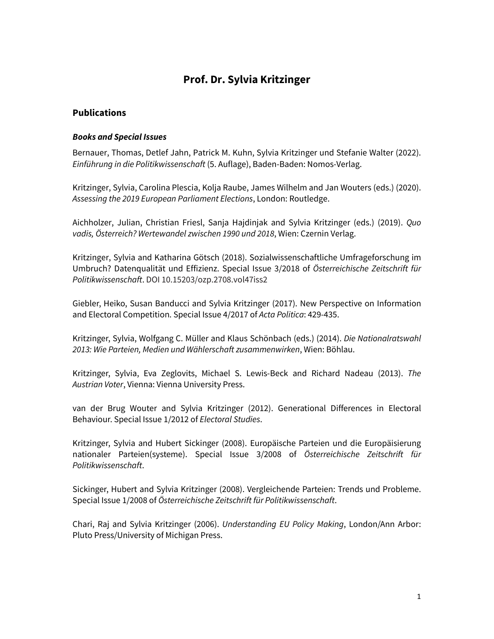# **Prof. Dr. Sylvia Kritzinger**

# **Publications**

#### *Books and Special Issues*

Bernauer, Thomas, Detlef Jahn, Patrick M. Kuhn, Sylvia Kritzinger und Stefanie Walter (2022). *Einführung in die Politikwissenschaft* (5. Auflage), Baden-Baden: Nomos-Verlag.

Kritzinger, Sylvia, Carolina Plescia, Kolja Raube, James Wilhelm and Jan Wouters (eds.) (2020). *Assessing the 2019 European Parliament Elections*, London: Routledge.

Aichholzer, Julian, Christian Friesl, Sanja Hajdinjak and Sylvia Kritzinger (eds.) (2019). *Quo vadis, Österreich? Wertewandel zwischen 1990 und 2018*, Wien: Czernin Verlag.

Kritzinger, Sylvia and Katharina Götsch (2018). Sozialwissenschaftliche Umfrageforschung im Umbruch? Datenqualität und Effizienz. Special Issue 3/2018 of *Österreichische Zeitschrift für Politikwissenschaft*. DOI 10.15203/ozp.2708.vol47iss2

Giebler, Heiko, Susan Banducci and Sylvia Kritzinger (2017). New Perspective on Information and Electoral Competition. Special Issue 4/2017 of *Acta Politica*: 429-435.

Kritzinger, Sylvia, Wolfgang C. Müller and Klaus Schönbach (eds.) (2014). *Die Nationalratswahl 2013: Wie Parteien, Medien und Wählerschaft zusammenwirken*, Wien: Böhlau.

Kritzinger, Sylvia, Eva Zeglovits, Michael S. Lewis-Beck and Richard Nadeau (2013). *The Austrian Voter*, Vienna: Vienna University Press.

van der Brug Wouter and Sylvia Kritzinger (2012). Generational Differences in Electoral Behaviour. Special Issue 1/2012 of *Electoral Studies*.

Kritzinger, Sylvia and Hubert Sickinger (2008). Europäische Parteien und die Europäisierung nationaler Parteien(systeme). Special Issue 3/2008 of *Österreichische Zeitschrift für Politikwissenschaft*.

Sickinger, Hubert and Sylvia Kritzinger (2008). Vergleichende Parteien: Trends und Probleme. Special Issue 1/2008 of *Österreichische Zeitschrift für Politikwissenschaft*.

Chari, Raj and Sylvia Kritzinger (2006). *Understanding EU Policy Making*, London/Ann Arbor: Pluto Press/University of Michigan Press.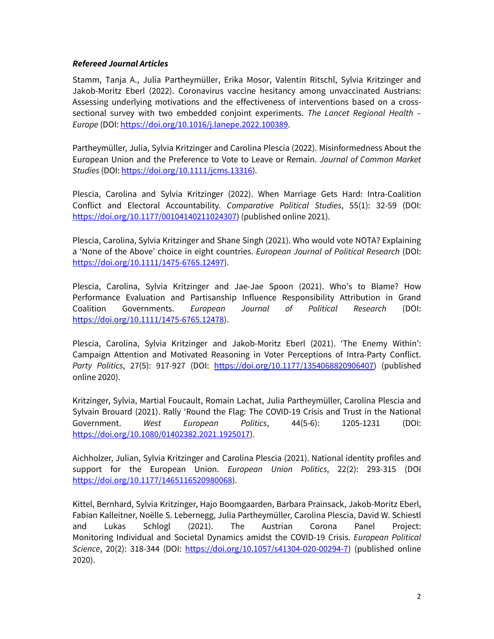#### *Refereed Journal Articles*

Stamm, Tanja A., Julia Partheymüller, Erika Mosor, Valentin Ritschl, Sylvia Kritzinger and Jakob-Moritz Eberl (2022). Coronavirus vaccine hesitancy among unvaccinated Austrians: Assessing underlying motivations and the effectiveness of interventions based on a crosssectional survey with two embedded conjoint experiments. *The Lancet Regional Health – Europe* (DOI[: https://doi.org/10.1016/j.lanepe.2022.100389.](https://doi.org/10.1016/j.lanepe.2022.100389)

Partheymüller, Julia, Sylvia Kritzinger and Carolina Plescia (2022). Misinformedness About the European Union and the Preference to Vote to Leave or Remain. *Journal of Common Market Studies* (DOI[: https://doi.org/10.1111/jcms.13316\)](https://doi.org/10.1111/jcms.13316).

Plescia, Carolina and Sylvia Kritzinger (2022). When Marriage Gets Hard: Intra-Coalition Conflict and Electoral Accountability. *Comparative Political Studies*, 55(1): 32-59 (DOI: [https://doi.org/10.1177/00104140211024307\)](https://doi.org/10.1080/01402382.2021.1925017) (published online 2021).

Plescia, Carolina, Sylvia Kritzinger and Shane Singh (2021). Who would vote NOTA? Explaining a 'None of the Above' choice in eight countries. *European Journal of Political Research* (DOI: [https://doi.org/10.1111/1475-6765.12497\)](https://doi.org/10.1111/1475-6765.12497).

Plescia, Carolina, Sylvia Kritzinger and Jae-Jae Spoon (2021). Who's to Blame? How Performance Evaluation and Partisanship Influence Responsibility Attribution in Grand Coalition Governments. *European Journal of Political Research* (DOI: [https://doi.org/10.1111/1475-6765.12478\)](https://doi.org/10.1111/1475-6765.12478).

Plescia, Carolina, Sylvia Kritzinger and Jakob-Moritz Eberl (2021). 'The Enemy Within': Campaign Attention and Motivated Reasoning in Voter Perceptions of Intra-Party Conflict. *Party Politics*, 27(5): 917-927 (DOI: [https://doi.org/10.1177/1354068820906407\)](https://doi.org/10.1177/1354068820906407) (published online 2020).

Kritzinger, Sylvia, Martial Foucault, Romain Lachat, Julia Partheymüller, Carolina Plescia and Sylvain Brouard (2021). Rally 'Round the Flag: The COVID-19 Crisis and Trust in the National Government. *West European Politics*, 44(5-6): 1205-1231 (DOI: [https://doi.org/10.1080/01402382.2021.1925017\)](https://doi.org/10.1080/01402382.2021.1925017).

Aichholzer, Julian, Sylvia Kritzinger and Carolina Plescia (2021). National identity profiles and support for the European Union. *European Union Politics*, 22(2): 293-315 (DOI [https://doi.org/10.1177/1465116520980068\)](https://doi.org/10.1177%2F1465116520980068).

Kittel, Bernhard, Sylvia Kritzinger, Hajo Boomgaarden, Barbara Prainsack, Jakob-Moritz Eberl, Fabian Kalleitner, Noëlle S. Lebernegg, Julia Partheymüller, Carolina Plescia, David W. Schiestl and Lukas Schlogl (2021). The Austrian Corona Panel Project: Monitoring Individual and Societal Dynamics amidst the COVID-19 Crisis. *European Political Science*, 20(2): 318-344 (DOI: [https://doi.org/10.1057/s41304-020-00294-7\)](https://doi.org/10.1057/s41304-020-00294-7) (published online 2020).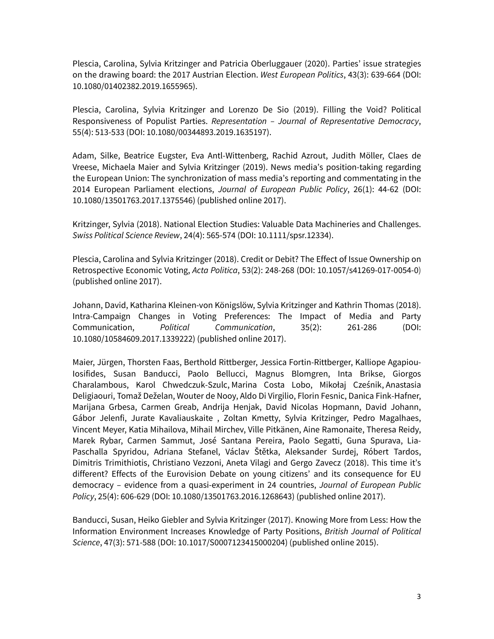Plescia, Carolina, Sylvia Kritzinger and Patricia Oberluggauer (2020). Parties' issue strategies on the drawing board: the 2017 Austrian Election. *West European Politics*, 43(3): 639-664 (DOI: 10.1080/01402382.2019.1655965).

Plescia, Carolina, Sylvia Kritzinger and Lorenzo De Sio (2019). Filling the Void? Political Responsiveness of Populist Parties. *Representation – Journal of Representative Democracy*, 55(4): 513-533 (DOI: 10.1080/00344893.2019.1635197).

Adam, Silke, Beatrice Eugster, Eva Antl-Wittenberg, Rachid Azrout, Judith Möller, Claes de Vreese, Michaela Maier and Sylvia Kritzinger (2019). News media's position-taking regarding the European Union: The synchronization of mass media's reporting and commentating in the 2014 European Parliament elections, *Journal of European Public Policy*, 26(1): 44-62 (DOI: 10.1080/13501763.2017.1375546) (published online 2017).

Kritzinger, Sylvia (2018). National Election Studies: Valuable Data Machineries and Challenges. *Swiss Political Science Review*, 24(4): 565-574 (DOI: 10.1111/spsr.12334).

Plescia, Carolina and Sylvia Kritzinger (2018). Credit or Debit? The Effect of Issue Ownership on Retrospective Economic Voting, *Acta Politica*, 53(2): 248-268 (DOI: 10.1057/s41269-017-0054-0) (published online 2017).

Johann, David, Katharina Kleinen-von Königslöw, Sylvia Kritzinger and Kathrin Thomas (2018). Intra-Campaign Changes in Voting Preferences: The Impact of Media and Party Communication, *Political Communication*, 35(2): 261-286 (DOI: 10.1080/10584609.2017.1339222) (published online 2017).

Maier, Jürgen, Thorsten Faas, Berthold Rittberger, Jessica Fortin-Rittberger, Kalliope Agapiou-Iosifides, Susan Banducci, Paolo Bellucci, Magnus Blomgren, Inta Brikse, Giorgos Charalambous, Karol Chwedczuk-Szulc, Marina Costa Lobo, Mikołaj Cześnik, Anastasia Deligiaouri, Tomaž Deželan, Wouter de Nooy, Aldo Di Virgilio, Florin Fesnic, Danica Fink-Hafner, Marijana Grbesa, Carmen Greab, Andrija Henjak, David Nicolas Hopmann, David Johann, Gábor Jelenfi, Jurate Kavaliauskaite , Zoltan Kmetty, Sylvia Kritzinger, Pedro Magalhaes, Vincent Meyer, Katia Mihailova, Mihail Mirchev, Ville Pitkänen, Aine Ramonaite, Theresa Reidy, Marek Rybar, Carmen Sammut, José Santana Pereira, Paolo Segatti, Guna Spurava, Lia-Paschalla Spyridou, Adriana Stefanel, Václav Štětka, Aleksander Surdej, Róbert Tardos, Dimitris Trimithiotis, Christiano Vezzoni, Aneta Vilagi and Gergo Zavecz (2018). This time it's different? Effects of the Eurovision Debate on young citizens' and its consequence for EU democracy – evidence from a quasi-experiment in 24 countries, *Journal of European Public Policy*, 25(4): 606-629 (DOI: 10.1080/13501763.2016.1268643) (published online 2017).

Banducci, Susan, Heiko Giebler and Sylvia Kritzinger (2017). Knowing More from Less: How the Information Environment Increases Knowledge of Party Positions, *British Journal of Political Science*, 47(3): 571-588 (DOI: 10.1017/S0007123415000204) (published online 2015).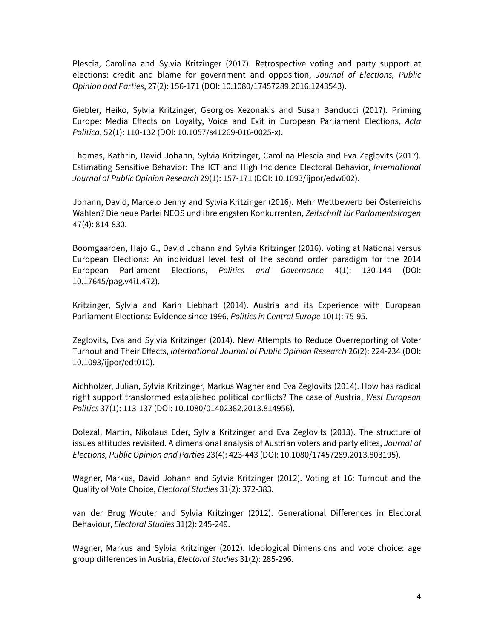Plescia, Carolina and Sylvia Kritzinger (2017). Retrospective voting and party support at elections: credit and blame for government and opposition, *Journal of Elections, Public Opinion and Parties*, 27(2): 156-171 (DOI: 10.1080/17457289.2016.1243543).

Giebler, Heiko, Sylvia Kritzinger, Georgios Xezonakis and Susan Banducci (2017). Priming Europe: Media Effects on Loyalty, Voice and Exit in European Parliament Elections, *Acta Politica*, 52(1): 110-132 (DOI: 10.1057/s41269-016-0025-x).

Thomas, Kathrin, David Johann, Sylvia Kritzinger, Carolina Plescia and Eva Zeglovits (2017). Estimating Sensitive Behavior: The ICT and High Incidence Electoral Behavior, *International Journal of Public Opinion Research* 29(1): 157-171 (DOI: 10.1093/ijpor/edw002).

Johann, David, Marcelo Jenny and Sylvia Kritzinger (2016). Mehr Wettbewerb bei Österreichs Wahlen? Die neue Partei NEOS und ihre engsten Konkurrenten, *Zeitschrift für Parlamentsfragen* 47(4): 814-830.

Boomgaarden, Hajo G., David Johann and Sylvia Kritzinger (2016). Voting at National versus European Elections: An individual level test of the second order paradigm for the 2014 European Parliament Elections, *Politics and Governance* 4(1): 130-144 (DOI: 10.17645/pag.v4i1.472).

Kritzinger, Sylvia and Karin Liebhart (2014). Austria and its Experience with European Parliament Elections: Evidence since 1996, *Politics in Central Europe* 10(1): 75-95.

Zeglovits, Eva and Sylvia Kritzinger (2014). New Attempts to Reduce Overreporting of Voter Turnout and Their Effects, *International Journal of Public Opinion Research* 26(2): 224-234 (DOI: 10.1093/ijpor/edt010).

Aichholzer, Julian, Sylvia Kritzinger, Markus Wagner and Eva Zeglovits (2014). How has radical right support transformed established political conflicts? The case of Austria, *West European Politics* 37(1): 113-137 (DOI: 10.1080/01402382.2013.814956).

Dolezal, Martin, Nikolaus Eder, Sylvia Kritzinger and Eva Zeglovits (2013). The structure of issues attitudes revisited. A dimensional analysis of Austrian voters and party elites, *Journal of Elections, Public Opinion and Parties* 23(4): 423-443 (DOI: 10.1080/17457289.2013.803195).

Wagner, Markus, David Johann and Sylvia Kritzinger (2012). Voting at 16: Turnout and the Quality of Vote Choice, *Electoral Studies* 31(2): 372-383.

van der Brug Wouter and Sylvia Kritzinger (2012). Generational Differences in Electoral Behaviour, *Electoral Studies* 31(2): 245-249.

Wagner, Markus and Sylvia Kritzinger (2012). Ideological Dimensions and vote choice: age group differences in Austria, *Electoral Studies* 31(2): 285-296.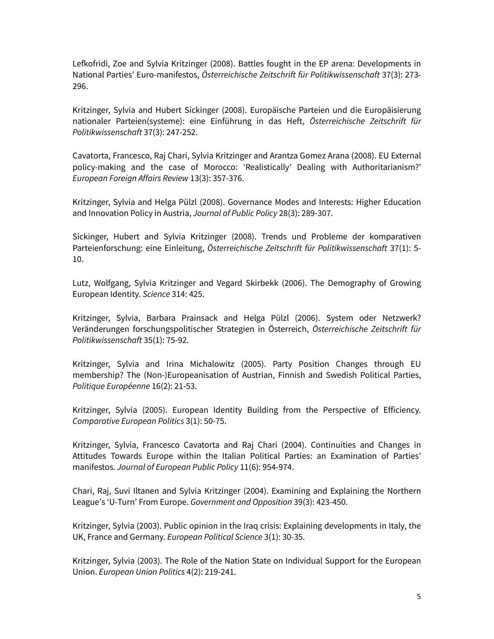Lefkofridi, Zoe and Sylvia Kritzinger (2008). Battles fought in the EP arena: Developments in National Parties' Euro-manifestos, *Österreichische Zeitschrift für Politikwissenschaft* 37(3): 273- 296.

Kritzinger, Sylvia and Hubert Sickinger (2008). Europäische Parteien und die Europäisierung nationaler Parteien(systeme): eine Einführung in das Heft, *Österreichische Zeitschrift für Politikwissenschaft* 37(3): 247-252.

Cavatorta, Francesco, Raj Chari, Sylvia Kritzinger and Arantza Gomez Arana (2008). EU External policy-making and the case of Morocco: 'Realistically' Dealing with Authoritarianism?' *European Foreign Affairs Review* 13(3): 357-376.

Kritzinger, Sylvia and Helga Pülzl (2008). Governance Modes and Interests: Higher Education and Innovation Policy in Austria, *Journal of Public Policy* 28(3): 289-307.

Sickinger, Hubert and Sylvia Kritzinger (2008). Trends und Probleme der komparativen Parteienforschung: eine Einleitung, *Österreichische Zeitschrift für Politikwissenschaft* 37(1): 5- 10.

Lutz, Wolfgang, Sylvia Kritzinger and Vegard Skirbekk (2006). The Demography of Growing European Identity. *Science* 314: 425.

Kritzinger, Sylvia, Barbara Prainsack and Helga Pülzl (2006). System oder Netzwerk? Veränderungen forschungspolitischer Strategien in Österreich, *Österreichische Zeitschrift für Politikwissenschaft* 35(1): 75-92.

Kritzinger, Sylvia and Irina Michalowitz (2005). Party Position Changes through EU membership? The (Non-)Europeanisation of Austrian, Finnish and Swedish Political Parties, *Politique Européenne* 16(2): 21-53.

Kritzinger, Sylvia (2005). European Identity Building from the Perspective of Efficiency. *Comparative European Politics* 3(1): 50-75.

Kritzinger, Sylvia, Francesco Cavatorta and Raj Chari (2004). Continuities and Changes in Attitudes Towards Europe within the Italian Political Parties: an Examination of Parties' manifestos. *Journal of European Public Policy* 11(6): 954-974.

Chari, Raj, Suvi Iltanen and Sylvia Kritzinger (2004). Examining and Explaining the Northern League's 'U-Turn' From Europe. *Government and Opposition* 39(3): 423-450.

Kritzinger, Sylvia (2003). Public opinion in the Iraq crisis: Explaining developments in Italy, the UK, France and Germany. *European Political Science* 3(1): 30-35.

Kritzinger, Sylvia (2003). The Role of the Nation State on Individual Support for the European Union. *European Union Politics* 4(2): 219-241.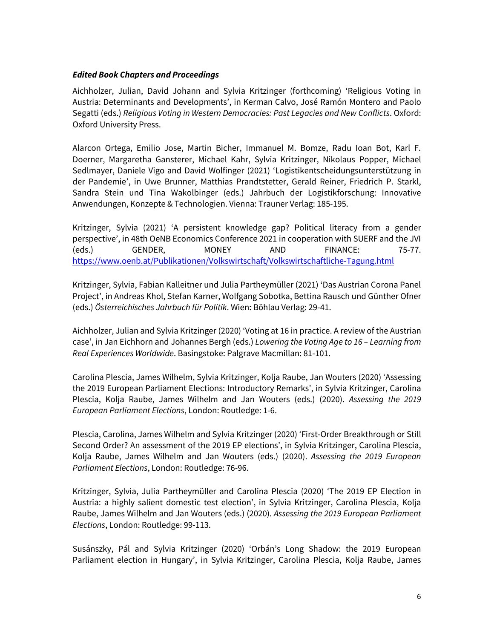# *Edited Book Chapters and Proceedings*

Aichholzer, Julian, David Johann and Sylvia Kritzinger (forthcoming) 'Religious Voting in Austria: Determinants and Developments', in Kerman Calvo, José Ramón Montero and Paolo Segatti (eds.) *Religious Voting in Western Democracies: Past Legacies and New Conflicts*. Oxford: Oxford University Press.

Alarcon Ortega, Emilio Jose, Martin Bicher, Immanuel M. Bomze, Radu Ioan Bot, Karl F. Doerner, Margaretha Gansterer, Michael Kahr, Sylvia Kritzinger, Nikolaus Popper, Michael Sedlmayer, Daniele Vigo and David Wolfinger (2021) 'Logistikentscheidungsunterstützung in der Pandemie', in Uwe Brunner, Matthias Prandtstetter, Gerald Reiner, Friedrich P. Starkl, Sandra Stein und Tina Wakolbinger (eds.) Jahrbuch der Logistikforschung: Innovative Anwendungen, Konzepte & Technologien. Vienna: Trauner Verlag: 185-195.

Kritzinger, Sylvia (2021) 'A persistent knowledge gap? Political literacy from a gender perspective', in 48th OeNB Economics Conference 2021 in cooperation with SUERF and the JVI (eds.) GENDER, MONEY AND FINANCE: 75-77. <https://www.oenb.at/Publikationen/Volkswirtschaft/Volkswirtschaftliche-Tagung.html>

Kritzinger, Sylvia, Fabian Kalleitner und Julia Partheymüller (2021) 'Das Austrian Corona Panel Project', in Andreas Khol, Stefan Karner, Wolfgang Sobotka, Bettina Rausch und Günther Ofner (eds.) *Österreichisches Jahrbuch für Politik*. Wien: Böhlau Verlag: 29-41.

Aichholzer, Julian and Sylvia Kritzinger (2020) 'Voting at 16 in practice. A review of the Austrian case', in Jan Eichhorn and Johannes Bergh (eds.) *Lowering the Voting Age to 16 – Learning from Real Experiences Worldwide*. Basingstoke: Palgrave Macmillan: 81-101.

Carolina Plescia, James Wilhelm, Sylvia Kritzinger, Kolja Raube, Jan Wouters (2020) 'Assessing the 2019 European Parliament Elections: Introductory Remarks', in Sylvia Kritzinger, Carolina Plescia, Kolja Raube, James Wilhelm and Jan Wouters (eds.) (2020). *Assessing the 2019 European Parliament Elections*, London: Routledge: 1-6.

Plescia, Carolina, James Wilhelm and Sylvia Kritzinger (2020) 'First-Order Breakthrough or Still Second Order? An assessment of the 2019 EP elections', in Sylvia Kritzinger, Carolina Plescia, Kolja Raube, James Wilhelm and Jan Wouters (eds.) (2020). *Assessing the 2019 European Parliament Elections*, London: Routledge: 76-96.

Kritzinger, Sylvia, Julia Partheymüller and Carolina Plescia (2020) 'The 2019 EP Election in Austria: a highly salient domestic test election', in Sylvia Kritzinger, Carolina Plescia, Kolja Raube, James Wilhelm and Jan Wouters (eds.) (2020). *Assessing the 2019 European Parliament Elections*, London: Routledge: 99-113.

Susánszky, Pál and Sylvia Kritzinger (2020) 'Orbán's Long Shadow: the 2019 European Parliament election in Hungary', in Sylvia Kritzinger, Carolina Plescia, Kolja Raube, James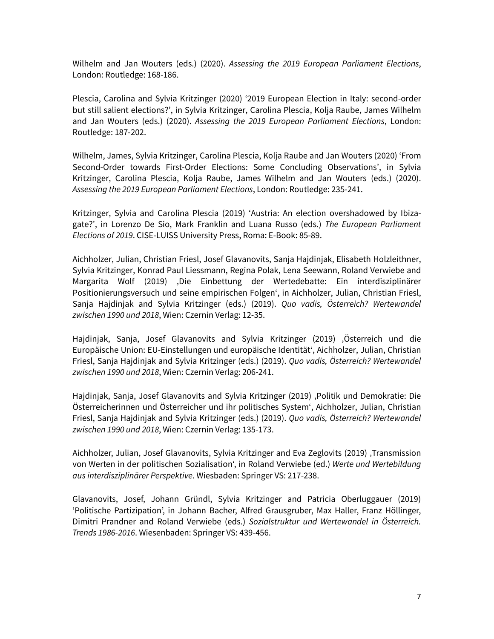Wilhelm and Jan Wouters (eds.) (2020). *Assessing the 2019 European Parliament Elections*, London: Routledge: 168-186.

Plescia, Carolina and Sylvia Kritzinger (2020) '2019 European Election in Italy: second-order but still salient elections?', in Sylvia Kritzinger, Carolina Plescia, Kolja Raube, James Wilhelm and Jan Wouters (eds.) (2020). *Assessing the 2019 European Parliament Elections*, London: Routledge: 187-202.

Wilhelm, James, Sylvia Kritzinger, Carolina Plescia, Kolja Raube and Jan Wouters (2020) 'From Second-Order towards First-Order Elections: Some Concluding Observations', in Sylvia Kritzinger, Carolina Plescia, Kolja Raube, James Wilhelm and Jan Wouters (eds.) (2020). *Assessing the 2019 European Parliament Elections*, London: Routledge: 235-241.

Kritzinger, Sylvia and Carolina Plescia (2019) 'Austria: An election overshadowed by Ibizagate?', in Lorenzo De Sio, Mark Franklin and Luana Russo (eds.) *The European Parliament Elections of 2019*. CISE-LUISS University Press, Roma: E-Book: 85-89.

Aichholzer, Julian, Christian Friesl, Josef Glavanovits, Sanja Hajdinjak, Elisabeth Holzleithner, Sylvia Kritzinger, Konrad Paul Liessmann, Regina Polak, Lena Seewann, Roland Verwiebe and Margarita Wolf (2019) 'Die Einbettung der Wertedebatte: Ein interdisziplinärer Positionierungsversuch und seine empirischen Folgen', in Aichholzer, Julian, Christian Friesl, Sanja Hajdinjak and Sylvia Kritzinger (eds.) (2019). *Quo vadis, Österreich? Wertewandel zwischen 1990 und 2018*, Wien: Czernin Verlag: 12-35.

Hajdinjak, Sanja, Josef Glavanovits and Sylvia Kritzinger (2019) ,Österreich und die Europäische Union: EU-Einstellungen und europäische Identität', Aichholzer, Julian, Christian Friesl, Sanja Hajdinjak and Sylvia Kritzinger (eds.) (2019). *Quo vadis, Österreich? Wertewandel zwischen 1990 und 2018*, Wien: Czernin Verlag: 206-241.

Hajdinjak, Sanja, Josef Glavanovits and Sylvia Kritzinger (2019), Politik und Demokratie: Die Österreicherinnen und Österreicher und ihr politisches System', Aichholzer, Julian, Christian Friesl, Sanja Hajdinjak and Sylvia Kritzinger (eds.) (2019). *Quo vadis, Österreich? Wertewandel zwischen 1990 und 2018*, Wien: Czernin Verlag: 135-173.

Aichholzer, Julian, Josef Glavanovits, Sylvia Kritzinger and Eva Zeglovits (2019), Transmission von Werten in der politischen Sozialisation', in Roland Verwiebe (ed.) *Werte und Wertebildung aus interdisziplinärer Perspektive*. Wiesbaden: Springer VS: 217-238.

Glavanovits, Josef, Johann Gründl, Sylvia Kritzinger and Patricia Oberluggauer (2019) 'Politische Partizipation', in Johann Bacher, Alfred Grausgruber, Max Haller, Franz Höllinger, Dimitri Prandner and Roland Verwiebe (eds.) *Sozialstruktur und Wertewandel in Österreich. Trends 1986-2016*. Wiesenbaden: Springer VS: 439-456.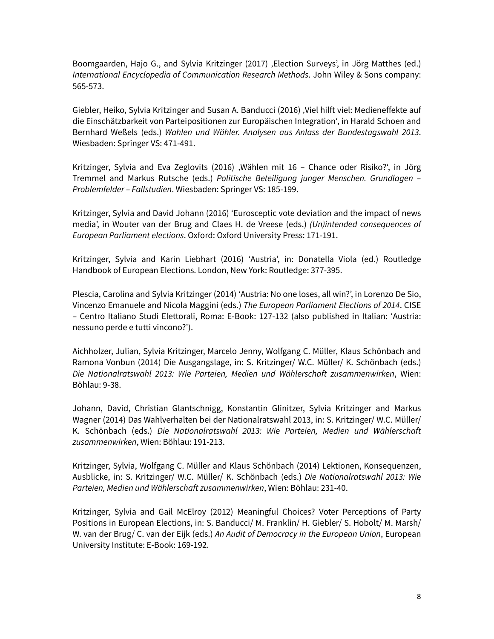Boomgaarden, Hajo G., and Sylvia Kritzinger (2017) , Election Surveys', in Jörg Matthes (ed.) *International Encyclopedia of Communication Research Methods*. John Wiley & Sons company: 565-573.

Giebler, Heiko, Sylvia Kritzinger and Susan A. Banducci (2016) 'Viel hilft viel: Medieneffekte auf die Einschätzbarkeit von Parteipositionen zur Europäischen Integration', in Harald Schoen and Bernhard Weßels (eds.) *Wahlen und Wähler. Analysen aus Anlass der Bundestagswahl 2013*. Wiesbaden: Springer VS: 471-491.

Kritzinger, Sylvia and Eva Zeglovits (2016) , Wählen mit 16 - Chance oder Risiko?', in Jörg Tremmel and Markus Rutsche (eds.) *Politische Beteiligung junger Menschen. Grundlagen – Problemfelder – Fallstudien*. Wiesbaden: Springer VS: 185-199.

Kritzinger, Sylvia and David Johann (2016) 'Eurosceptic vote deviation and the impact of news media', in Wouter van der Brug and Claes H. de Vreese (eds.) *(Un)intended consequences of European Parliament elections*. Oxford: Oxford University Press: 171-191.

Kritzinger, Sylvia and Karin Liebhart (2016) 'Austria', in: Donatella Viola (ed.) Routledge Handbook of European Elections. London, New York: Routledge: 377-395.

Plescia, Carolina and Sylvia Kritzinger (2014) 'Austria: No one loses, all win?', in Lorenzo De Sio, Vincenzo Emanuele and Nicola Maggini (eds.) *The European Parliament Elections of 2014*. CISE – Centro Italiano Studi Elettorali, Roma: E-Book: 127-132 (also published in Italian: 'Austria: nessuno perde e tutti vincono?').

Aichholzer, Julian, Sylvia Kritzinger, Marcelo Jenny, Wolfgang C. Müller, Klaus Schönbach and Ramona Vonbun (2014) Die Ausgangslage, in: S. Kritzinger/ W.C. Müller/ K. Schönbach (eds.) *Die Nationalratswahl 2013: Wie Parteien, Medien und Wählerschaft zusammenwirken*, Wien: Böhlau: 9-38.

Johann, David, Christian Glantschnigg, Konstantin Glinitzer, Sylvia Kritzinger and Markus Wagner (2014) Das Wahlverhalten bei der Nationalratswahl 2013, in: S. Kritzinger/ W.C. Müller/ K. Schönbach (eds.) *Die Nationalratswahl 2013: Wie Parteien, Medien und Wählerschaft zusammenwirken*, Wien: Böhlau: 191-213.

Kritzinger, Sylvia, Wolfgang C. Müller and Klaus Schönbach (2014) Lektionen, Konsequenzen, Ausblicke, in: S. Kritzinger/ W.C. Müller/ K. Schönbach (eds.) *Die Nationalratswahl 2013: Wie Parteien, Medien und Wählerschaft zusammenwirken*, Wien: Böhlau: 231-40.

Kritzinger, Sylvia and Gail McElroy (2012) Meaningful Choices? Voter Perceptions of Party Positions in European Elections, in: S. Banducci/ M. Franklin/ H. Giebler/ S. Hobolt/ M. Marsh/ W. van der Brug/ C. van der Eijk (eds.) *An Audit of Democracy in the European Union*, European University Institute: E-Book: 169-192.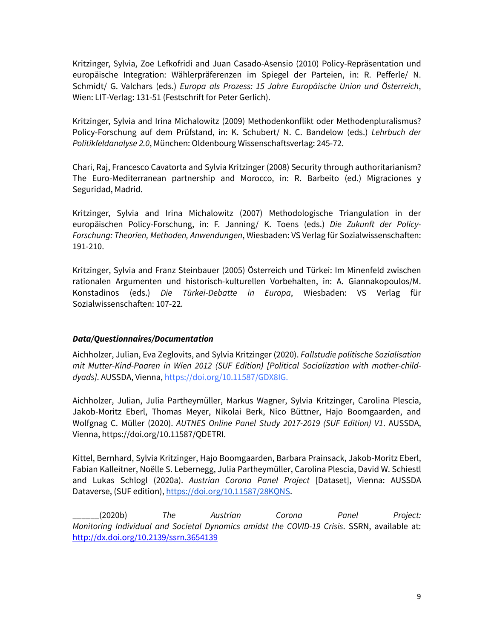Kritzinger, Sylvia, Zoe Lefkofridi and Juan Casado-Asensio (2010) Policy-Repräsentation und europäische Integration: Wählerpräferenzen im Spiegel der Parteien, in: R. Pefferle/ N. Schmidt/ G. Valchars (eds.) *Europa als Prozess: 15 Jahre Europäische Union und Österreich*, Wien: LIT-Verlag: 131-51 (Festschrift for Peter Gerlich).

Kritzinger, Sylvia and Irina Michalowitz (2009) Methodenkonflikt oder Methodenpluralismus? Policy-Forschung auf dem Prüfstand, in: K. Schubert/ N. C. Bandelow (eds.) *Lehrbuch der Politikfeldanalyse 2.0*, München: Oldenbourg Wissenschaftsverlag: 245-72.

Chari, Raj, Francesco Cavatorta and Sylvia Kritzinger (2008) Security through authoritarianism? The Euro-Mediterranean partnership and Morocco, in: R. Barbeito (ed.) Migraciones y Seguridad, Madrid.

Kritzinger, Sylvia and Irina Michalowitz (2007) Methodologische Triangulation in der europäischen Policy-Forschung, in: F. Janning/ K. Toens (eds.) *Die Zukunft der Policy-Forschung: Theorien, Methoden, Anwendungen*, Wiesbaden: VS Verlag für Sozialwissenschaften: 191-210.

Kritzinger, Sylvia and Franz Steinbauer (2005) Österreich und Türkei: Im Minenfeld zwischen rationalen Argumenten und historisch-kulturellen Vorbehalten, in: A. Giannakopoulos/M. Konstadinos (eds.) *Die Türkei-Debatte in Europa*, Wiesbaden: VS Verlag für Sozialwissenschaften: 107-22.

# *Data/Questionnaires/Documentation*

Aichholzer, Julian, Eva Zeglovits, and Sylvia Kritzinger (2020). *Fallstudie politische Sozialisation mit Mutter-Kind-Paaren in Wien 2012 (SUF Edition) [Political Socialization with mother-childdyads]*. AUSSDA, Vienna, https://doi.org/10.11587/GDX8IG.

Aichholzer, Julian, Julia Partheymüller, Markus Wagner, Sylvia Kritzinger, Carolina Plescia, Jakob-Moritz Eberl, Thomas Meyer, Nikolai Berk, Nico Büttner, Hajo Boomgaarden, and Wolfgnag C. Müller (2020). *AUTNES Online Panel Study 2017-2019 (SUF Edition) V1*. AUSSDA, Vienna, [https://doi.org/10.11587/QDETRI.](https://doi.org/10.11587/QDETRI)

Kittel, Bernhard, Sylvia Kritzinger, Hajo Boomgaarden, Barbara Prainsack, Jakob-Moritz Eberl, Fabian Kalleitner, Noëlle S. Lebernegg, Julia Partheymüller, Carolina Plescia, David W. Schiestl and Lukas Schlogl (2020a). *Austrian Corona Panel Project* [Dataset], Vienna: AUSSDA Dataverse, (SUF edition), [https://doi.org/10.11587/28KQNS.](https://doi.org/10.11587/28KQNS)

\_\_\_\_\_\_(2020b) *The Austrian Corona Panel Project: Monitoring Individual and Societal Dynamics amidst the COVID-19 Crisis*. SSRN, available at[:](https://papers.ssrn.com/sol3/papers.cfm?abstract_id=3654139) [http://dx.doi.org/10.2139/ssrn.3654139](https://dx.doi.org/10.2139/ssrn.3654139)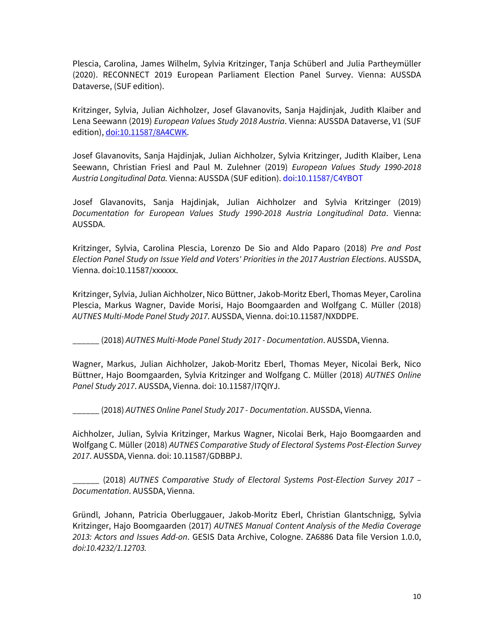Plescia, Carolina, James Wilhelm, Sylvia Kritzinger, Tanja Schüberl and Julia Partheymüller (2020). RECONNECT 2019 European Parliament Election Panel Survey. Vienna: AUSSDA Dataverse, (SUF edition).

Kritzinger, Sylvia, Julian Aichholzer, Josef Glavanovits, Sanja Hajdinjak, Judith Klaiber and Lena Seewann (2019) *European Values Study 2018 Austria*. Vienna: AUSSDA Dataverse, V1 (SUF edition), [doi:10.11587/8A4CWK.](http://dx.doi.org/10.11587/8A4CWK)

Josef Glavanovits, Sanja Hajdinjak, Julian Aichholzer, Sylvia Kritzinger, Judith Klaiber, Lena Seewann, Christian Friesl and Paul M. Zulehner (2019) *European Values Study 1990-2018 Austria Longitudinal Data.* Vienna: AUSSDA (SUF edition). doi:10.11587/C4YBOT

Josef Glavanovits, Sanja Hajdinjak, Julian Aichholzer and Sylvia Kritzinger (2019) *Documentation for European Values Study 1990-2018 Austria Longitudinal Data*. Vienna: AUSSDA.

Kritzinger, Sylvia, Carolina Plescia, Lorenzo De Sio and Aldo Paparo (2018) *Pre and Post Election Panel Study on Issue Yield and Voters' Priorities in the 2017 Austrian Elections*. AUSSDA, Vienna. doi:10.11587/xxxxxx.

Kritzinger, Sylvia, Julian Aichholzer, Nico Büttner, Jakob-Moritz Eberl, Thomas Meyer, Carolina Plescia, Markus Wagner, Davide Morisi, Hajo Boomgaarden and Wolfgang C. Müller (2018) *AUTNES Multi-Mode Panel Study 2017*. AUSSDA, Vienna. doi:10.11587/NXDDPE.

\_\_\_\_\_\_ (2018) *AUTNES Multi-Mode Panel Study 2017 - Documentation*. AUSSDA, Vienna.

Wagner, Markus, Julian Aichholzer, Jakob-Moritz Eberl, Thomas Meyer, Nicolai Berk, Nico Büttner, Hajo Boomgaarden, Sylvia Kritzinger and Wolfgang C. Müller (2018) *AUTNES Online Panel Study 2017*. AUSSDA, Vienna. doi: 10.11587/I7QIYJ.

\_\_\_\_\_\_ (2018) *AUTNES Online Panel Study 2017 - Documentation*. AUSSDA, Vienna.

Aichholzer, Julian, Sylvia Kritzinger, Markus Wagner, Nicolai Berk, Hajo Boomgaarden and Wolfgang C. Müller (2018) *AUTNES Comparative Study of Electoral Systems Post-Election Survey 2017*. AUSSDA, Vienna. doi: 10.11587/GDBBPJ.

\_\_\_\_\_\_ (2018) *AUTNES Comparative Study of Electoral Systems Post-Election Survey 2017 – Documentation*. AUSSDA, Vienna.

Gründl, Johann, Patricia Oberluggauer, Jakob-Moritz Eberl, Christian Glantschnigg, Sylvia Kritzinger, Hajo Boomgaarden (2017) *AUTNES Manual Content Analysis of the Media Coverage 2013: Actors and Issues Add-on*. GESIS Data Archive, Cologne. ZA6886 Data file Version 1.0.0, *[doi:10.4232/1.12703.](http://dx.doi.org/10.4232/1.12703)*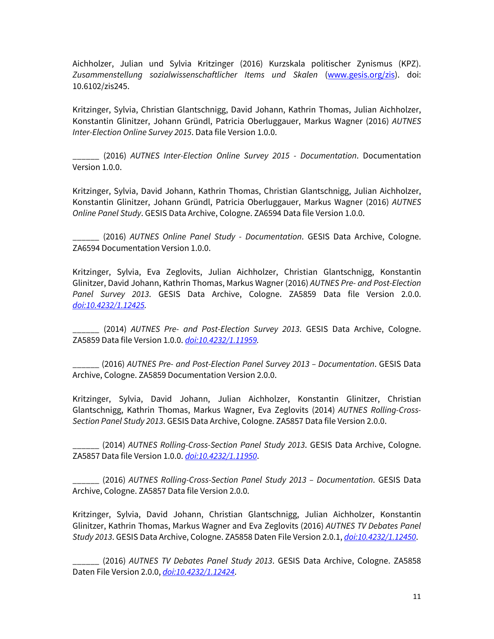Aichholzer, Julian und Sylvia Kritzinger (2016) Kurzskala politischer Zynismus (KPZ). *Zusammenstellung sozialwissenschaftlicher Items und Skalen* [\(www.gesis.org/zis\)](http://www.gesis.org/zis). doi: 10.6102/zis245.

Kritzinger, Sylvia, Christian Glantschnigg, David Johann, Kathrin Thomas, Julian Aichholzer, Konstantin Glinitzer, Johann Gründl, Patricia Oberluggauer, Markus Wagner (2016) *AUTNES Inter-Election Online Survey 2015*. Data file Version 1.0.0.

\_\_\_\_\_\_ (2016) *AUTNES Inter-Election Online Survey 2015 - Documentation*. Documentation Version 1.0.0.

Kritzinger, Sylvia, David Johann, Kathrin Thomas, Christian Glantschnigg, Julian Aichholzer, Konstantin Glinitzer, Johann Gründl, Patricia Oberluggauer, Markus Wagner (2016) *AUTNES Online Panel Study*. GESIS Data Archive, Cologne. ZA6594 Data file Version 1.0.0.

\_\_\_\_\_\_ (2016) *AUTNES Online Panel Study - Documentation*. GESIS Data Archive, Cologne. ZA6594 Documentation Version 1.0.0.

Kritzinger, Sylvia, Eva Zeglovits, Julian Aichholzer, Christian Glantschnigg, Konstantin Glinitzer, David Johann, Kathrin Thomas, Markus Wagner (2016) *AUTNES Pre- and Post-Election Panel Survey 2013*. GESIS Data Archive, Cologne. ZA5859 Data file Version 2.0.0. *[doi:10.4232/1.12425.](http://dx.doi.org/10.4232/1.12425)*

\_\_\_\_\_\_ (2014) *AUTNES Pre- and Post-Election Survey 2013*. GESIS Data Archive, Cologne. ZA5859 Data file Version 1.0.0. *[doi:10.4232/1.11959.](http://dx.doi.org/10.4232/1.11959)*

\_\_\_\_\_\_ (2016) *AUTNES Pre- and Post-Election Panel Survey 2013 – Documentation*. GESIS Data Archive, Cologne. ZA5859 Documentation Version 2.0.0.

Kritzinger, Sylvia, David Johann, Julian Aichholzer, Konstantin Glinitzer, Christian Glantschnigg, Kathrin Thomas, Markus Wagner, Eva Zeglovits (2014) *AUTNES Rolling-Cross-Section Panel Study 2013*. GESIS Data Archive, Cologne. ZA5857 Data file Version 2.0.0.

\_\_\_\_\_\_ (2014) *AUTNES Rolling-Cross-Section Panel Study 2013*. GESIS Data Archive, Cologne. ZA5857 Data file Version 1.0.0. *[doi:10.4232/1.11950](http://dx.doi.org/10.4232/1.11950)*.

\_\_\_\_\_\_ (2016) *AUTNES Rolling-Cross-Section Panel Study 2013 – Documentation*. GESIS Data Archive, Cologne. ZA5857 Data file Version 2.0.0.

Kritzinger, Sylvia, David Johann, Christian Glantschnigg, Julian Aichholzer, Konstantin Glinitzer, Kathrin Thomas, Markus Wagner and Eva Zeglovits (2016) *AUTNES TV Debates Panel Study 2013*. GESIS Data Archive, Cologne. ZA5858 Daten File Version 2.0.1, *[doi:10.4232/1.12450](http://dx.doi.org/10.4232/1.12424)*.

\_\_\_\_\_\_ (2016) *AUTNES TV Debates Panel Study 2013*. GESIS Data Archive, Cologne. ZA5858 Daten File Version 2.0.0, *[doi:10.4232/1.12424](http://dx.doi.org/10.4232/1.12424)*.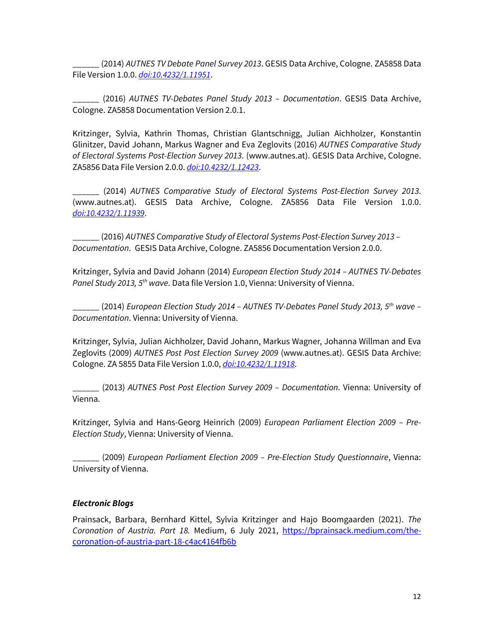\_\_\_\_\_\_ (2014) *AUTNES TV Debate Panel Survey 2013*. GESIS Data Archive, Cologne. ZA5858 Data File Version 1.0.0. *[doi:10.4232/1.11951](http://dx.doi.org/10.4232/1.11951)*.

\_\_\_\_\_\_ (2016) *AUTNES TV-Debates Panel Study 2013 – Documentation*. GESIS Data Archive, Cologne. ZA5858 Documentation Version 2.0.1.

Kritzinger, Sylvia, Kathrin Thomas, Christian Glantschnigg, Julian Aichholzer, Konstantin Glinitzer, David Johann, Markus Wagner and Eva Zeglovits (2016) *AUTNES Comparative Study of Electoral Systems Post-Election Survey 2013*. (www.autnes.at). GESIS Data Archive, Cologne. ZA5856 Data File Version 2.0.0. *[doi:10.4232/1.12423](http://dx.doi.org/10.4232/1.12423)*.

\_\_\_\_\_\_ (2014) *AUTNES Comparative Study of Electoral Systems Post-Election Survey 2013*. (www.autnes.at). GESIS Data Archive, Cologne. ZA5856 Data File Version 1.0.0. *[doi:10.4232/1.11939](http://dx.doi.org/10.4232/1.11939)*.

\_\_\_\_\_\_ (2016) *AUTNES Comparative Study of Electoral Systems Post-Election Survey 2013 – Documentation*. GESIS Data Archive, Cologne. ZA5856 Documentation Version 2.0.0.

Kritzinger, Sylvia and David Johann (2014) *European Election Study 2014 – AUTNES TV-Debates Panel Study 2013, 5th wave*. Data file Version 1.0, Vienna: University of Vienna.

\_\_\_\_\_\_ (2014) *European Election Study 2014 – AUTNES TV-Debates Panel Study 2013, 5th wave – Documentation*. Vienna: University of Vienna.

Kritzinger, Sylvia, Julian Aichholzer, David Johann, Markus Wagner, Johanna Willman and Eva Zeglovits (2009) *AUTNES Post Post Election Survey 2009* (www.autnes.at). GESIS Data Archive: Cologne. ZA 5855 Data File Version 1.0.0, *[doi:10.4232/1.11918](http://dx.doi.org/10.4232/1.11918)*.

\_\_\_\_\_\_ (2013) *AUTNES Post Post Election Survey 2009 – Documentation*. Vienna: University of Vienna.

Kritzinger, Sylvia and Hans-Georg Heinrich (2009) *European Parliament Election 2009 – Pre-Election Study*, Vienna: University of Vienna.

\_\_\_\_\_\_ (2009) *European Parliament Election 2009 – Pre-Election Study Questionnaire*, Vienna: University of Vienna.

# *Electronic Blogs*

Prainsack, Barbara, Bernhard Kittel, Sylvia Kritzinger and Hajo Boomgaarden (2021). *The Coronation of Austria. Part 18.* Medium, 6 July 2021, [https://bprainsack.medium.com/the](https://bprainsack.medium.com/the-coronation-of-austria-part-18-c4ac4164fb6b)[coronation-of-austria-part-18-c4ac4164fb6b](https://bprainsack.medium.com/the-coronation-of-austria-part-18-c4ac4164fb6b)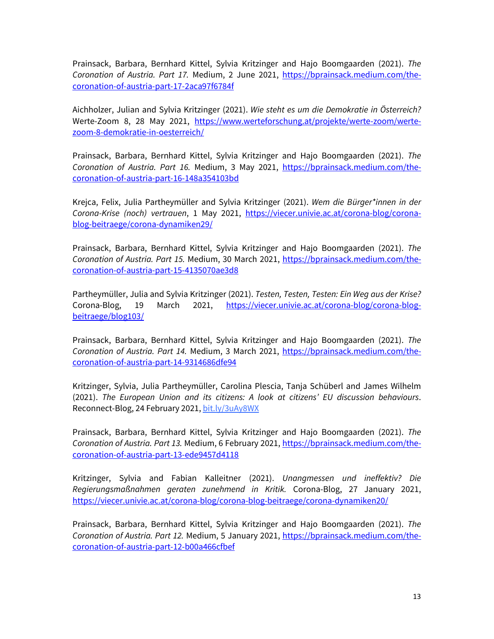Prainsack, Barbara, Bernhard Kittel, Sylvia Kritzinger and Hajo Boomgaarden (2021). *The Coronation of Austria. Part 17.* Medium, 2 June 2021, [https://bprainsack.medium.com/the](https://bprainsack.medium.com/the-coronation-of-austria-part-17-2aca97f6784f)[coronation-of-austria-part-17-2aca97f6784f](https://bprainsack.medium.com/the-coronation-of-austria-part-17-2aca97f6784f) 

Aichholzer, Julian and Sylvia Kritzinger (2021). *Wie steht es um die Demokratie in Österreich?* Werte-Zoom 8, 28 May 2021, [https://www.werteforschung.at/projekte/werte-zoom/werte](https://www.werteforschung.at/projekte/werte-zoom/werte-zoom-8-demokratie-in-oesterreich/)[zoom-8-demokratie-in-oesterreich/](https://www.werteforschung.at/projekte/werte-zoom/werte-zoom-8-demokratie-in-oesterreich/)

Prainsack, Barbara, Bernhard Kittel, Sylvia Kritzinger and Hajo Boomgaarden (2021). *The Coronation of Austria. Part 16.* Medium, 3 May 2021, [https://bprainsack.medium.com/the](https://bprainsack.medium.com/the-coronation-of-austria-part-16-148a354103bd)[coronation-of-austria-part-16-148a354103bd](https://bprainsack.medium.com/the-coronation-of-austria-part-16-148a354103bd)

Krejca, Felix, Julia Partheymüller and Sylvia Kritzinger (2021). *Wem die Bürger\*innen in der Corona-Krise (noch) vertrauen*, 1 May 2021, [https://viecer.univie.ac.at/corona-blog/corona](https://viecer.univie.ac.at/corona-blog/corona-blog-beitraege/corona-dynamiken29/)[blog-beitraege/corona-dynamiken29/](https://viecer.univie.ac.at/corona-blog/corona-blog-beitraege/corona-dynamiken29/)

Prainsack, Barbara, Bernhard Kittel, Sylvia Kritzinger and Hajo Boomgaarden (2021). *The Coronation of Austria. Part 15.* Medium, 30 March 2021, [https://bprainsack.medium.com/the](https://bprainsack.medium.com/the-coronation-of-austria-part-15-4135070ae3d8)[coronation-of-austria-part-15-4135070ae3d8](https://bprainsack.medium.com/the-coronation-of-austria-part-15-4135070ae3d8)

Partheymüller, Julia and Sylvia Kritzinger (2021). *Testen, Testen, Testen: Ein Weg aus der Krise?* Corona-Blog, 19 March 2021, [https://viecer.univie.ac.at/corona-blog/corona-blog](https://viecer.univie.ac.at/corona-blog/corona-blog-beitraege/blog103/)[beitraege/blog103/](https://viecer.univie.ac.at/corona-blog/corona-blog-beitraege/blog103/)

Prainsack, Barbara, Bernhard Kittel, Sylvia Kritzinger and Hajo Boomgaarden (2021). *The Coronation of Austria. Part 14.* Medium, 3 March 2021, [https://bprainsack.medium.com/the](https://bprainsack.medium.com/the-coronation-of-austria-part-14-9314686dfe94)[coronation-of-austria-part-14-9314686dfe94](https://bprainsack.medium.com/the-coronation-of-austria-part-14-9314686dfe94)

Kritzinger, Sylvia, Julia Partheymüller, Carolina Plescia, Tanja Schüberl and James Wilhelm (2021). *The European Union and its citizens: A look at citizens' EU discussion behaviours*. Reconnect-Blog, 24 February 2021[, bit.ly/3uAy8WX](http://bit.ly/3uAy8WX)

Prainsack, Barbara, Bernhard Kittel, Sylvia Kritzinger and Hajo Boomgaarden (2021). *The Coronation of Austria. Part 13.* Medium, 6 February 2021, [https://bprainsack.medium.com/the](https://bprainsack.medium.com/the-coronation-of-austria-part-13-ede9457d4118)[coronation-of-austria-part-13-ede9457d4118](https://bprainsack.medium.com/the-coronation-of-austria-part-13-ede9457d4118)

Kritzinger, Sylvia and Fabian Kalleitner (2021). *Unangmessen und ineffektiv? Die Regierungsmaßnahmen geraten zunehmend in Kritik.* Corona-Blog, 27 January 2021, <https://viecer.univie.ac.at/corona-blog/corona-blog-beitraege/corona-dynamiken20/>

Prainsack, Barbara, Bernhard Kittel, Sylvia Kritzinger and Hajo Boomgaarden (2021). *The Coronation of Austria. Part 12.* Medium, 5 January 2021, [https://bprainsack.medium.com/the](https://bprainsack.medium.com/the-coronation-of-austria-part-12-b00a466cfbef)[coronation-of-austria-part-12-b00a466cfbef](https://bprainsack.medium.com/the-coronation-of-austria-part-12-b00a466cfbef)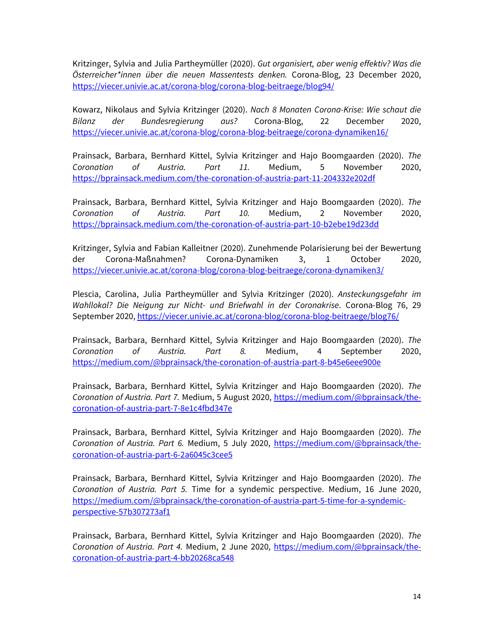Kritzinger, Sylvia and Julia Partheymüller (2020). *Gut organisiert, aber wenig effektiv? Was die Österreicher\*innen über die neuen Massentests denken.* Corona-Blog, 23 December 2020, <https://viecer.univie.ac.at/corona-blog/corona-blog-beitraege/blog94/>

Kowarz, Nikolaus and Sylvia Kritzinger (2020). *Nach 8 Monaten Corona-Krise: Wie schaut die Bilanz der Bundesregierung aus?* Corona-Blog, 22 December 2020, <https://viecer.univie.ac.at/corona-blog/corona-blog-beitraege/corona-dynamiken16/>

Prainsack, Barbara, Bernhard Kittel, Sylvia Kritzinger and Hajo Boomgaarden (2020). *The Coronation of Austria. Part 11.* Medium, 5 November 2020, <https://bprainsack.medium.com/the-coronation-of-austria-part-11-204332e202df>

Prainsack, Barbara, Bernhard Kittel, Sylvia Kritzinger and Hajo Boomgaarden (2020). *The Coronation of Austria. Part 10.* Medium, 2 November 2020, <https://bprainsack.medium.com/the-coronation-of-austria-part-10-b2ebe19d23dd>

Kritzinger, Sylvia and Fabian Kalleitner (2020). Zunehmende Polarisierung bei der Bewertung der Corona-Maßnahmen? Corona-Dynamiken 3, 1 October 2020, <https://viecer.univie.ac.at/corona-blog/corona-blog-beitraege/corona-dynamiken3/>

Plescia, Carolina, Julia Partheymüller and Sylvia Kritzinger (2020). *Ansteckungsgefahr im Wahllokal? Die Neigung zur Nicht- und Briefwahl in der Coronakrise*. Corona-Blog 76, 29 September 2020,<https://viecer.univie.ac.at/corona-blog/corona-blog-beitraege/blog76/>

Prainsack, Barbara, Bernhard Kittel, Sylvia Kritzinger and Hajo Boomgaarden (2020). *The Coronation of Austria. Part 8.* Medium, 4 September 2020, <https://medium.com/@bprainsack/the-coronation-of-austria-part-8-b45e6eee900e>

Prainsack, Barbara, Bernhard Kittel, Sylvia Kritzinger and Hajo Boomgaarden (2020). *The Coronation of Austria. Part 7.* Medium, 5 August 2020, [https://medium.com/@bprainsack/the](https://medium.com/@bprainsack/the-coronation-of-austria-part-7-8e1c4fbd347e)[coronation-of-austria-part-7-8e1c4fbd347e](https://medium.com/@bprainsack/the-coronation-of-austria-part-7-8e1c4fbd347e)

Prainsack, Barbara, Bernhard Kittel, Sylvia Kritzinger and Hajo Boomgaarden (2020). *The Coronation of Austria. Part 6.* Medium, 5 July 2020, [https://medium.com/@bprainsack/the](https://medium.com/@bprainsack/the-coronation-of-austria-part-6-2a6045c3cee5)[coronation-of-austria-part-6-2a6045c3cee5](https://medium.com/@bprainsack/the-coronation-of-austria-part-6-2a6045c3cee5)

Prainsack, Barbara, Bernhard Kittel, Sylvia Kritzinger and Hajo Boomgaarden (2020). *The Coronation of Austria. Part 5.* Time for a syndemic perspective. Medium, 16 June 2020, [https://medium.com/@bprainsack/the-coronation-of-austria-part-5-time-for-a-syndemic](https://medium.com/@bprainsack/the-coronation-of-austria-part-5-time-for-a-syndemic-perspective-57b307273af1)[perspective-57b307273af1](https://medium.com/@bprainsack/the-coronation-of-austria-part-5-time-for-a-syndemic-perspective-57b307273af1)

Prainsack, Barbara, Bernhard Kittel, Sylvia Kritzinger and Hajo Boomgaarden (2020). *The Coronation of Austria. Part 4.* Medium, 2 June 2020, [https://medium.com/@bprainsack/the](https://medium.com/@bprainsack/the-coronation-of-austria-part-4-bb20268ca548)[coronation-of-austria-part-4-bb20268ca548](https://medium.com/@bprainsack/the-coronation-of-austria-part-4-bb20268ca548)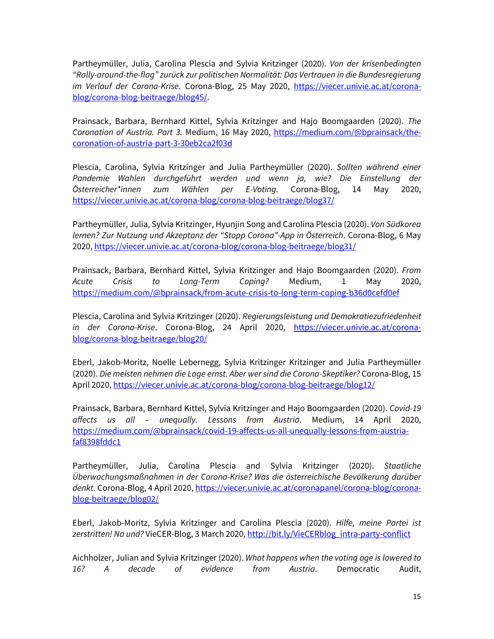Partheymüller, Julia, Carolina Plescia and Sylvia Kritzinger (2020). *Von der krisenbedingten "Rally-around-the-flag" zurück zur politischen Normalität: Das Vertrauen in die Bundesregierung im Verlauf der Corona-Krise*. Corona-Blog, 25 May 2020, [https://viecer.univie.ac.at/corona](https://viecer.univie.ac.at/corona-blog/corona-blog-beitraege/blog45/)[blog/corona-blog-beitraege/blog45/.](https://viecer.univie.ac.at/corona-blog/corona-blog-beitraege/blog45/)

Prainsack, Barbara, Bernhard Kittel, Sylvia Kritzinger and Hajo Boomgaarden (2020). *The Coronation of Austria. Part 3.* Medium, 16 May 2020, [https://medium.com/@bprainsack/the](https://medium.com/@bprainsack/the-coronation-of-austria-part-3-30eb2ca2f03d)[coronation-of-austria-part-3-30eb2ca2f03d](https://medium.com/@bprainsack/the-coronation-of-austria-part-3-30eb2ca2f03d)

Plescia, Carolina, Sylvia Kritzinger and Julia Partheymüller (2020). *Sollten während einer Pandemie Wahlen durchgeführt werden und wenn ja, wie? Die Einstellung der Österreicher\*innen zum Wählen per E-Voting*. Corona-Blog, 14 May 2020, <https://viecer.univie.ac.at/corona-blog/corona-blog-beitraege/blog37/>

Partheymüller, Julia, Sylvia Kritzinger, Hyunjin Song and Carolina Plescia (2020). *Von Südkorea lernen? Zur Nutzung und Akzeptanz der "Stopp Corona"-App in Österreich*. Corona-Blog, 6 May 2020,<https://viecer.univie.ac.at/corona-blog/corona-blog-beitraege/blog31/>

Prainsack, Barbara, Bernhard Kittel, Sylvia Kritzinger and Hajo Boomgaarden (2020). *From Acute Crisis to Long-Term Coping?* Medium, 1 May 2020, <https://medium.com/@bprainsack/from-acute-crisis-to-long-term-coping-b36d0cefd0ef>

Plescia, Carolina and Sylvia Kritzinger (2020). *Regierungsleistung und Demokratiezufriedenheit in der Corona-Krise*. Corona-Blog, 24 April 2020, [https://viecer.univie.ac.at/corona](https://viecer.univie.ac.at/corona-blog/corona-blog-beitraege/blog20/)[blog/corona-blog-beitraege/blog20/](https://viecer.univie.ac.at/corona-blog/corona-blog-beitraege/blog20/)

Eberl, Jakob-Moritz, Noelle Lebernegg, Sylvia Kritzinger Kritzinger and Julia Partheymüller (2020). *Die meisten nehmen die Lage ernst. Aber wer sind die Corona-Skeptiker?* Corona-Blog, 15 April 2020[, https://viecer.univie.ac.at/corona-blog/corona-blog-beitraege/blog12/](https://viecer.univie.ac.at/corona-blog/corona-blog-beitraege/blog12/)

Prainsack, Barbara, Bernhard Kittel, Sylvia Kritzinger and Hajo Boomgaarden (2020). *Covid-19 affects us all – unequally. Lessons from Austria*. Medium, 14 April 2020, [https://medium.com/@bprainsack/covid-19-affects-us-all-unequally-lessons-from-austria](https://medium.com/@bprainsack/covid-19-affects-us-all-unequally-lessons-from-austria-faf8398fddc1)[faf8398fddc1](https://medium.com/@bprainsack/covid-19-affects-us-all-unequally-lessons-from-austria-faf8398fddc1)

Partheymüller, Julia, Carolina Plescia and Sylvia Kritzinger (2020). *Staatliche Überwachungsmaßnahmen in der Corona-Krise? Was die österreichische Bevölkerung darüber*  denkt. Corona-Blog, 4 April 2020, [https://viecer.univie.ac.at/coronapanel/corona-blog/corona](https://viecer.univie.ac.at/coronapanel/corona-blog/corona-blog-beitraege/blog02/)[blog-beitraege/blog02/](https://viecer.univie.ac.at/coronapanel/corona-blog/corona-blog-beitraege/blog02/)

Eberl, Jakob-Moritz, Sylvia Kritzinger and Carolina Plescia (2020). *Hilfe, meine Partei ist*  zerstritten! Na und? VieCER-Blog, 3 March 2020[, http://bit.ly/VieCERblog\\_intra-party-conflict](http://bit.ly/VieCERblog_intra-party-conflict)

Aichholzer, Julian and Sylvia Kritzinger (2020). *What happens when the voting age is lowered to 16? A decade of evidence from Austria*. Democratic Audit,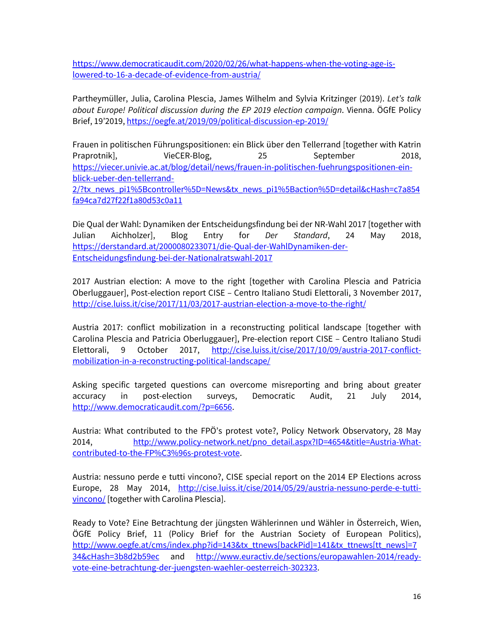[https://www.democraticaudit.com/2020/02/26/what-happens-when-the-voting-age-is](https://www.democraticaudit.com/2020/02/26/what-happens-when-the-voting-age-is-lowered-to-16-a-decade-of-evidence-from-austria/)[lowered-to-16-a-decade-of-evidence-from-austria/](https://www.democraticaudit.com/2020/02/26/what-happens-when-the-voting-age-is-lowered-to-16-a-decade-of-evidence-from-austria/)

Partheymüller, Julia, Carolina Plescia, James Wilhelm and Sylvia Kritzinger (2019). *Let's talk about Europe! Political discussion during the EP 2019 election campaign*. Vienna. ÖGfE Policy Brief, 19'2019[, https://oegfe.at/2019/09/political-discussion-ep-2019/](https://oegfe.at/2019/09/political-discussion-ep-2019/)

Frauen in politischen Führungspositionen: ein Blick über den Tellerrand [together with Katrin Praprotnik],  $VieCER-Blog$ , 25 September 2018, [https://viecer.univie.ac.at/blog/detail/news/frauen-in-politischen-fuehrungspositionen-ein](https://viecer.univie.ac.at/blog/detail/news/frauen-in-politischen-fuehrungspositionen-ein-blick-ueber-den-tellerrand-2/?tx_news_pi1%5Bcontroller%5D=News&tx_news_pi1%5Baction%5D=detail&cHash=c7a854fa94ca7d27f22f1a80d53c0a11)[blick-ueber-den-tellerrand-](https://viecer.univie.ac.at/blog/detail/news/frauen-in-politischen-fuehrungspositionen-ein-blick-ueber-den-tellerrand-2/?tx_news_pi1%5Bcontroller%5D=News&tx_news_pi1%5Baction%5D=detail&cHash=c7a854fa94ca7d27f22f1a80d53c0a11)

[2/?tx\\_news\\_pi1%5Bcontroller%5D=News&tx\\_news\\_pi1%5Baction%5D=detail&cHash=c7a854](https://viecer.univie.ac.at/blog/detail/news/frauen-in-politischen-fuehrungspositionen-ein-blick-ueber-den-tellerrand-2/?tx_news_pi1%5Bcontroller%5D=News&tx_news_pi1%5Baction%5D=detail&cHash=c7a854fa94ca7d27f22f1a80d53c0a11) [fa94ca7d27f22f1a80d53c0a11](https://viecer.univie.ac.at/blog/detail/news/frauen-in-politischen-fuehrungspositionen-ein-blick-ueber-den-tellerrand-2/?tx_news_pi1%5Bcontroller%5D=News&tx_news_pi1%5Baction%5D=detail&cHash=c7a854fa94ca7d27f22f1a80d53c0a11)

Die Qual der Wahl: Dynamiken der Entscheidungsfindung bei der NR-Wahl 2017 [together with Julian Aichholzer], Blog Entry for *Der Standard*, 24 May 2018, [https://derstandard.at/2000080233071/die-Qual-der-WahlDynamiken-der-](https://derstandard.at/2000080233071/die-Qual-der-WahlDynamiken-der-Entscheidungsfindung-bei-der-Nationalratswahl-2017)[Entscheidungsfindung-bei-der-Nationalratswahl-2017](https://derstandard.at/2000080233071/die-Qual-der-WahlDynamiken-der-Entscheidungsfindung-bei-der-Nationalratswahl-2017)

2017 Austrian election: A move to the right [together with Carolina Plescia and Patricia Oberluggauer], Post-election report CISE – Centro Italiano Studi Elettorali, 3 November 2017, <http://cise.luiss.it/cise/2017/11/03/2017-austrian-election-a-move-to-the-right/>

Austria 2017: conflict mobilization in a reconstructing political landscape [together with Carolina Plescia and Patricia Oberluggauer], Pre-election report CISE – Centro Italiano Studi Elettorali, 9 October 2017, [http://cise.luiss.it/cise/2017/10/09/austria-2017-conflict](http://cise.luiss.it/cise/2017/10/09/austria-2017-conflict-mobilization-in-a-reconstructing-political-landscape/)[mobilization-in-a-reconstructing-political-landscape/](http://cise.luiss.it/cise/2017/10/09/austria-2017-conflict-mobilization-in-a-reconstructing-political-landscape/)

[Asking specific targeted questions can overcome misreporting and bring about greater](http://www.democraticaudit.com/?p=6656)  [accuracy in post-election surveys,](http://www.democraticaudit.com/?p=6656) Democratic Audit, 21 July 2014, [http://www.democraticaudit.com/?p=6656.](http://www.democraticaudit.com/?p=6656)

Austria: What contributed to the FPÖ's protest vote?, Policy Network Observatory, 28 May 2014, [http://www.policy-network.net/pno\\_detail.aspx?ID=4654&title=Austria-What](http://www.policy-network.net/pno_detail.aspx?ID=4654&title=Austria-What-contributed-to-the-FP%C3%96s-protest-vote)[contributed-to-the-FP%C3%96s-protest-vote.](http://www.policy-network.net/pno_detail.aspx?ID=4654&title=Austria-What-contributed-to-the-FP%C3%96s-protest-vote)

Austria: nessuno perde e tutti vincono?, CISE special report on the 2014 EP Elections across Europe, 28 May 2014, [http://cise.luiss.it/cise/2014/05/29/austria-nessuno-perde-e-tutti](http://cise.luiss.it/cise/2014/05/29/austria-nessuno-perde-e-tutti-vincono/)[vincono/](http://cise.luiss.it/cise/2014/05/29/austria-nessuno-perde-e-tutti-vincono/) [together with Carolina Plescia].

Ready to Vote? Eine Betrachtung der jüngsten Wählerinnen und Wähler in Österreich, Wien, ÖGfE Policy Brief, 11 (Policy Brief for the Austrian Society of European Politics), [http://www.oegfe.at/cms/index.php?id=143&tx\\_ttnews\[backPid\]=141&tx\\_ttnews\[tt\\_news\]=7](http://www.oegfe.at/cms/index.php?id=143&tx_ttnews%5bbackPid%5d=141&tx_ttnews%5btt_news%5d=734&cHash=3b8d2b59ec) [34&cHash=3b8d2b59ec](http://www.oegfe.at/cms/index.php?id=143&tx_ttnews%5bbackPid%5d=141&tx_ttnews%5btt_news%5d=734&cHash=3b8d2b59ec) and [http://www.euractiv.de/sections/europawahlen-2014/ready](http://www.euractiv.de/sections/europawahlen-2014/ready-vote-eine-betrachtung-der-juengsten-waehler-oesterreich-302323)[vote-eine-betrachtung-der-juengsten-waehler-oesterreich-302323.](http://www.euractiv.de/sections/europawahlen-2014/ready-vote-eine-betrachtung-der-juengsten-waehler-oesterreich-302323)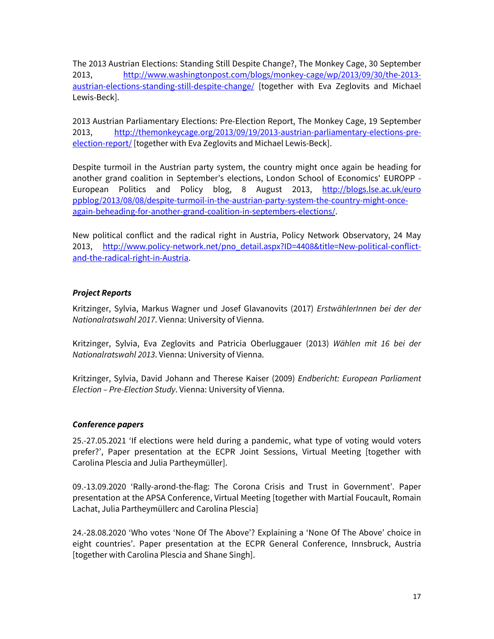The 2013 Austrian Elections: Standing Still Despite Change?, The Monkey Cage, 30 September 2013, [http://www.washingtonpost.com/blogs/monkey-cage/wp/2013/09/30/the-2013](http://www.washingtonpost.com/blogs/monkey-cage/wp/2013/09/30/the-2013-austrian-elections-standing-still-despite-change/) [austrian-elections-standing-still-despite-change/](http://www.washingtonpost.com/blogs/monkey-cage/wp/2013/09/30/the-2013-austrian-elections-standing-still-despite-change/) [together with Eva Zeglovits and Michael Lewis-Beck].

2013 Austrian Parliamentary Elections: Pre-Election Report, The Monkey Cage, 19 September 2013, [http://themonkeycage.org/2013/09/19/2013-austrian-parliamentary-elections-pre](http://themonkeycage.org/2013/09/19/2013-austrian-parliamentary-elections-pre-election-report/)[election-report/](http://themonkeycage.org/2013/09/19/2013-austrian-parliamentary-elections-pre-election-report/) [together with Eva Zeglovits and Michael Lewis-Beck].

Despite turmoil in the Austrian party system, the country might once again be heading for another grand coalition in September's elections, London School of Economics' EUROPP - European Politics and Policy blog, 8 August 2013, http://blogs.lse.ac.uk/euro ppblog/2013/08/08/despite-turmoil-in-the-austrian-party-system-the-country-might-onceagain-beheading-for-another-grand-coalition-in-septembers-elections/.

[New political conflict and the radical right in Austria,](http://www.policy-network.net/pno_detail.aspx?ID=4408&title=New-political-conflict-and-the-radical-right-in-Austria) Policy Network Observatory, 24 May 2013, [http://www.policy-network.net/pno\\_detail.aspx?ID=4408&title=New-political-conflict](http://www.policy-network.net/pno_detail.aspx?ID=4408&title=New-political-conflict-and-the-radical-right-in-Austria)[and-the-radical-right-in-Austria.](http://www.policy-network.net/pno_detail.aspx?ID=4408&title=New-political-conflict-and-the-radical-right-in-Austria)

# *Project Reports*

Kritzinger, Sylvia, Markus Wagner und Josef Glavanovits (2017) *ErstwählerInnen bei der der Nationalratswahl 2017*. Vienna: University of Vienna.

Kritzinger, Sylvia, Eva Zeglovits and Patricia Oberluggauer (2013) *Wählen mit 16 bei der Nationalratswahl 2013*. Vienna: University of Vienna.

Kritzinger, Sylvia, David Johann and Therese Kaiser (2009) *Endbericht: European Parliament Election – Pre-Election Study*. Vienna: University of Vienna.

# *Conference papers*

25.-27.05.2021 'If elections were held during a pandemic, what type of voting would voters prefer?', Paper presentation at the ECPR Joint Sessions, Virtual Meeting [together with Carolina Plescia and Julia Partheymüller].

09.-13.09.2020 'Rally-arond-the-flag: The Corona Crisis and Trust in Government'. Paper presentation at the APSA Conference, Virtual Meeting [together with Martial Foucault, Romain Lachat, Julia Partheymüllerc and Carolina Plescia]

24.-28.08.2020 'Who votes 'None Of The Above'? Explaining a 'None Of The Above' choice in eight countries'. Paper presentation at the ECPR General Conference, Innsbruck, Austria [together with Carolina Plescia and Shane Singh].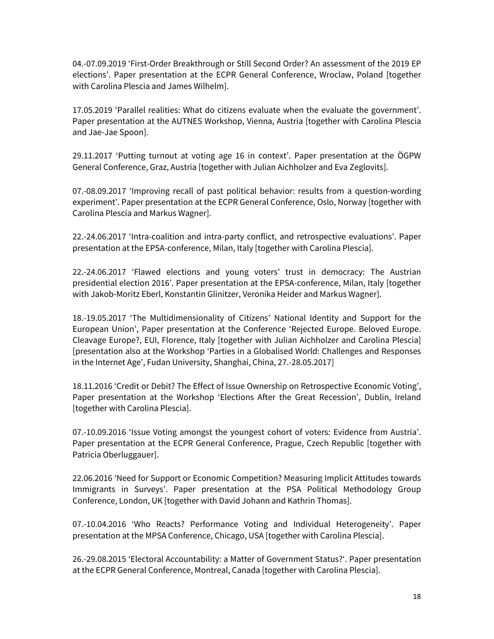04.-07.09.2019 'First-Order Breakthrough or Still Second Order? An assessment of the 2019 EP elections'. Paper presentation at the ECPR General Conference, Wroclaw, Poland [together with Carolina Plescia and James Wilhelm].

17.05.2019 'Parallel realities: What do citizens evaluate when the evaluate the government'. Paper presentation at the AUTNES Workshop, Vienna, Austria [together with Carolina Plescia and Jae-Jae Spoon].

29.11.2017 'Putting turnout at voting age 16 in context'. Paper presentation at the ÖGPW General Conference, Graz, Austria [together with Julian Aichholzer and Eva Zeglovits].

07.-08.09.2017 'Improving recall of past political behavior: results from a question-wording experiment'. Paper presentation at the ECPR General Conference, Oslo, Norway [together with Carolina Plescia and Markus Wagner].

22.-24.06.2017 'Intra-coalition and intra-party conflict, and retrospective evaluations'. Paper presentation at the EPSA-conference, Milan, Italy [together with Carolina Plescia].

22.-24.06.2017 'Flawed elections and young voters' trust in democracy: The Austrian presidential election 2016'. Paper presentation at the EPSA-conference, Milan, Italy [together with Jakob-Moritz Eberl, Konstantin Glinitzer, Veronika Heider and Markus Wagner].

18.-19.05.2017 'The Multidimensionality of Citizens' National Identity and Support for the European Union', Paper presentation at the Conference 'Rejected Europe. Beloved Europe. Cleavage Europe?, EUI, Florence, Italy [together with Julian Aichholzer and Carolina Plescia] [presentation also at the Workshop 'Parties in a Globalised World: Challenges and Responses in the Internet Age', Fudan University, Shanghai, China, 27.-28.05.2017]

18.11.2016 'Credit or Debit? The Effect of Issue Ownership on Retrospective Economic Voting', Paper presentation at the Workshop 'Elections After the Great Recession', Dublin, Ireland [together with Carolina Plescia].

07.-10.09.2016 'Issue Voting amongst the youngest cohort of voters: Evidence from Austria'. Paper presentation at the ECPR General Conference, Prague, Czech Republic [together with Patricia Oberluggauer].

22.06.2016 'Need for Support or Economic Competition? Measuring Implicit Attitudes towards Immigrants in Surveys'. Paper presentation at the PSA Political Methodology Group Conference, London, UK [together with David Johann and Kathrin Thomas].

07.-10.04.2016 'Who Reacts? Performance Voting and Individual Heterogeneity'. Paper presentation at the MPSA Conference, Chicago, USA [together with Carolina Plescia].

26.-29.08.2015 'Electoral Accountability: a Matter of Government Status?'. Paper presentation at the ECPR General Conference, Montreal, Canada [together with Carolina Plescia].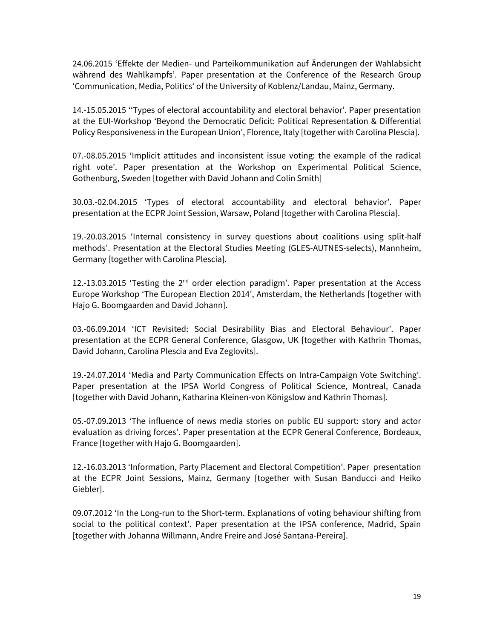24.06.2015 'Effekte der Medien- und Parteikommunikation auf Änderungen der Wahlabsicht während des Wahlkampfs'. Paper presentation at the Conference of the Research Group 'Communication, Media, Politics' of the University of Koblenz/Landau, Mainz, Germany.

14.-15.05.2015 ''Types of electoral accountability and electoral behavior'. Paper presentation at the EUI-Workshop 'Beyond the Democratic Deficit: Political Representation & Differential Policy Responsiveness in the European Union', Florence, Italy [together with Carolina Plescia].

07.-08.05.2015 'Implicit attitudes and inconsistent issue voting: the example of the radical right vote'. Paper presentation at the Workshop on Experimental Political Science, Gothenburg, Sweden [together with David Johann and Colin Smith]

30.03.-02.04.2015 'Types of electoral accountability and electoral behavior'. Paper presentation at the ECPR Joint Session, Warsaw, Poland [together with Carolina Plescia].

19.-20.03.2015 'Internal consistency in survey questions about coalitions using split-half methods'. Presentation at the Electoral Studies Meeting (GLES-AUTNES-selects), Mannheim, Germany [together with Carolina Plescia].

12.-13.03.2015 'Testing the  $2<sup>nd</sup>$  order election paradigm'. Paper presentation at the Access Europe Workshop 'The European Election 2014', Amsterdam, the Netherlands [together with Hajo G. Boomgaarden and David Johann].

03.-06.09.2014 'ICT Revisited: Social Desirability Bias and Electoral Behaviour'. Paper presentation at the ECPR General Conference, Glasgow, UK [together with Kathrin Thomas, David Johann, Carolina Plescia and Eva Zeglovits].

19.-24.07.2014 'Media and Party Communication Effects on Intra-Campaign Vote Switching'. Paper presentation at the IPSA World Congress of Political Science, Montreal, Canada [together with David Johann, Katharina Kleinen-von Königslow and Kathrin Thomas].

05.-07.09.2013 'The influence of news media stories on public EU support: story and actor evaluation as driving forces'. Paper presentation at the ECPR General Conference, Bordeaux, France [together with Hajo G. Boomgaarden].

12.-16.03.2013 'Information, Party Placement and Electoral Competition'. Paper presentation at the ECPR Joint Sessions, Mainz, Germany [together with Susan Banducci and Heiko Giebler].

09.07.2012 'In the Long-run to the Short-term. Explanations of voting behaviour shifting from social to the political context'. Paper presentation at the IPSA conference, Madrid, Spain [together with Johanna Willmann, Andre Freire and José Santana-Pereira].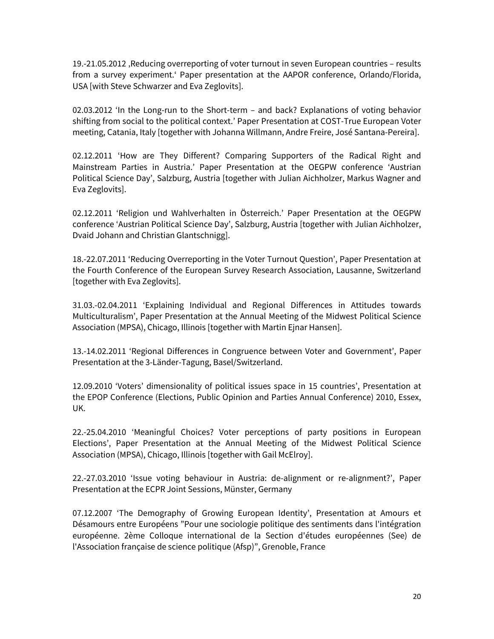19.-21.05.2012 'Reducing overreporting of voter turnout in seven European countries – results from a survey experiment.' Paper presentation at the AAPOR conference, Orlando/Florida, USA [with Steve Schwarzer and Eva Zeglovits].

02.03.2012 'In the Long-run to the Short-term – and back? Explanations of voting behavior shifting from social to the political context.' Paper Presentation at COST-True European Voter meeting, Catania, Italy [together with Johanna Willmann, Andre Freire, José Santana-Pereira].

02.12.2011 'How are They Different? Comparing Supporters of the Radical Right and Mainstream Parties in Austria.' Paper Presentation at the OEGPW conference 'Austrian Political Science Day', Salzburg, Austria [together with Julian Aichholzer, Markus Wagner and Eva Zeglovits].

02.12.2011 'Religion und Wahlverhalten in Österreich.' Paper Presentation at the OEGPW conference 'Austrian Political Science Day', Salzburg, Austria [together with Julian Aichholzer, Dvaid Johann and Christian Glantschnigg].

18.-22.07.2011 'Reducing Overreporting in the Voter Turnout Question', Paper Presentation at the Fourth Conference of the European Survey Research Association, Lausanne, Switzerland [together with Eva Zeglovits].

31.03.-02.04.2011 'Explaining Individual and Regional Differences in Attitudes towards Multiculturalism', Paper Presentation at the Annual Meeting of the Midwest Political Science Association (MPSA), Chicago, Illinois [together with Martin Ejnar Hansen].

13.-14.02.2011 'Regional Differences in Congruence between Voter and Government', Paper Presentation at the 3-Länder-Tagung, Basel/Switzerland.

12.09.2010 'Voters' dimensionality of political issues space in 15 countries', Presentation at the EPOP Conference (Elections, Public Opinion and Parties Annual Conference) 2010, Essex, UK.

22.-25.04.2010 'Meaningful Choices? Voter perceptions of party positions in European Elections', Paper Presentation at the Annual Meeting of the Midwest Political Science Association (MPSA), Chicago, Illinois [together with Gail McElroy].

22.-27.03.2010 'Issue voting behaviour in Austria: de-alignment or re-alignment?', Paper Presentation at the ECPR Joint Sessions, Münster, Germany

07.12.2007 'The Demography of Growing European Identity', Presentation at Amours et Désamours entre Européens "Pour une sociologie politique des sentiments dans l'intégration européenne. 2ème Colloque international de la Section d'études européennes (See) de l'Association française de science politique (Afsp)", Grenoble, France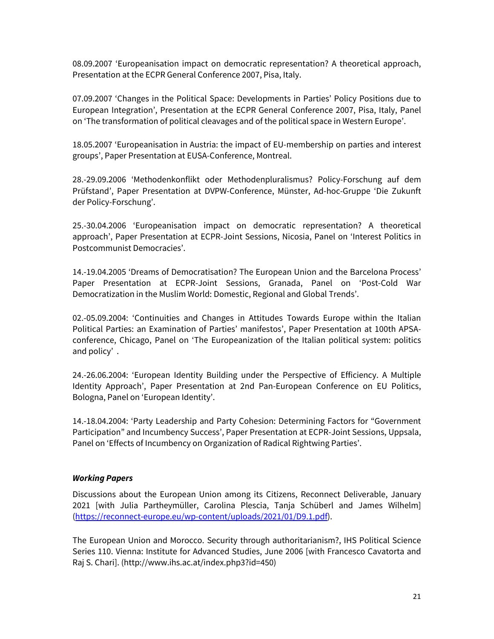08.09.2007 'Europeanisation impact on democratic representation? A theoretical approach, Presentation at the ECPR General Conference 2007, Pisa, Italy.

07.09.2007 'Changes in the Political Space: Developments in Parties' Policy Positions due to European Integration', Presentation at the ECPR General Conference 2007, Pisa, Italy, Panel on 'The transformation of political cleavages and of the political space in Western Europe'.

18.05.2007 'Europeanisation in Austria: the impact of EU-membership on parties and interest groups', Paper Presentation at EUSA-Conference, Montreal.

28.-29.09.2006 'Methodenkonflikt oder Methodenpluralismus? Policy-Forschung auf dem Prüfstand', Paper Presentation at DVPW-Conference, Münster, Ad-hoc-Gruppe 'Die Zukunft der Policy-Forschung'.

25.-30.04.2006 'Europeanisation impact on democratic representation? A theoretical approach', Paper Presentation at ECPR-Joint Sessions, Nicosia, Panel on 'Interest Politics in Postcommunist Democracies'.

14.-19.04.2005 'Dreams of Democratisation? The European Union and the Barcelona Process' Paper Presentation at ECPR-Joint Sessions, Granada, Panel on 'Post-Cold War Democratization in the Muslim World: Domestic, Regional and Global Trends'.

02.-05.09.2004: 'Continuities and Changes in Attitudes Towards Europe within the Italian Political Parties: an Examination of Parties' manifestos', Paper Presentation at 100th APSAconference, Chicago, Panel on 'The Europeanization of the Italian political system: politics and policy' .

24.-26.06.2004: 'European Identity Building under the Perspective of Efficiency. A Multiple Identity Approach', Paper Presentation at 2nd Pan-European Conference on EU Politics, Bologna, Panel on 'European Identity'.

14.-18.04.2004: 'Party Leadership and Party Cohesion: Determining Factors for "Government Participation" and Incumbency Success', Paper Presentation at ECPR-Joint Sessions, Uppsala, Panel on 'Effects of Incumbency on Organization of Radical Rightwing Parties'.

# *Working Papers*

Discussions about the European Union among its Citizens, Reconnect Deliverable, January 2021 [with Julia Partheymüller, Carolina Plescia, Tanja Schüberl and James Wilhelm] [\(https://reconnect-europe.eu/wp-content/uploads/2021/01/D9.1.pdf\)](https://reconnect-europe.eu/wp-content/uploads/2021/01/D9.1.pdf).

The European Union and Morocco. Security through authoritarianism?, IHS Political Science Series 110. Vienna: Institute for Advanced Studies, June 2006 [with Francesco Cavatorta and Raj S. Chari]. (http://www.ihs.ac.at/index.php3?id=450)